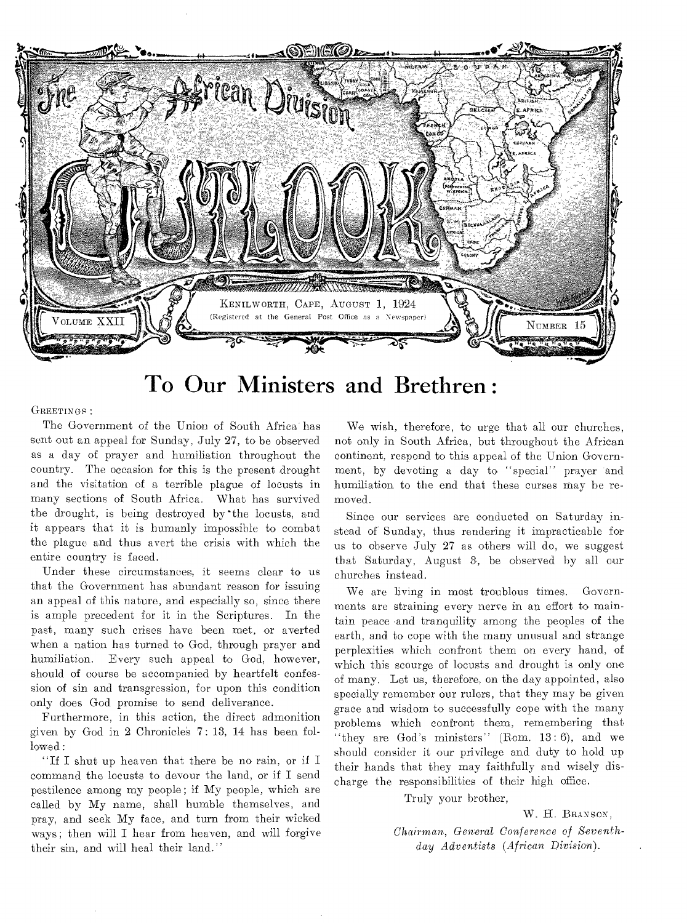

**To Our Ministers and Brethren :** 

**GREETINGS :** 

The Government of the Union of South Africa has sent out an appeal for Sunday, July 27, to be observed as a day of prayer and humiliation throughout the country. The occasion for this is the present drought and the visitation of a terrible plague of locusts in many sections of South Africa. What has survived the drought, is being destroyed by 'the locusts, and it appears that it is humanly impossible to combat the plague and thus avert the crisis with which the entire country is faced.

Under these circumstances, it seems clear to us that the Government has abundant reason for issuing an appeal of this nature, and especially so, since there is ample precedent for it in the Scriptures. In the past, many such crises have been met, or averted when a nation has turned to God, through prayer and humiliation. Every such appeal to God, however, should of course be accompanied by heartfelt confession of sin and transgression, for upon this condition only does God promise to send deliverance.

Furthermore, in this action, the direct admonition given by God in 2 Chronicles 7: 13, 14 has been followed:

"If I shut up heaven that there be no rain, or if I command the locusts to devour the land, or if I send pestilence among my people; if My people, which are called by My name, shall humble themselves, and pray, and seek My face, and turn from their wicked ways; then will I hear from heaven, and will forgive their sin, and will heal their land."

We wish, therefore, to urge that all our churches, not only in South Africa, but throughout the African continent, respond to this appeal of the Union Government, by devoting a day to "special" prayer and humiliation to the end that these curses may be removed.

Since our services are conducted on Saturday instead of Sunday, thus rendering it impracticable for us to observe July 27 as others will do, we suggest that Saturday, August 3, be observed by all our churches instead.

We are living in most troublous times. Governments are straining every nerve in an effort to maintain peace .and tranquility among the peoples of the earth, and to cope with the many unusual and strange perplexities which confront them on every hand, of which this scourge of locusts and drought is only one of many. Let us, therefore, on the day appointed, also specially remember our rulers, that they may be given grace and wisdom to successfully cope with the many problems which confront them, remembering that "they are God's ministers" (Rom.  $13:6$ ), and we should consider it our privilege and duty to hold up their hands that they may faithfully and wisely discharge the responsibilities of their high office.

Truly your brother,

**W. H. BRANSON,** 

*Chairman, General Conference of Seventhday Adventists (African Division).*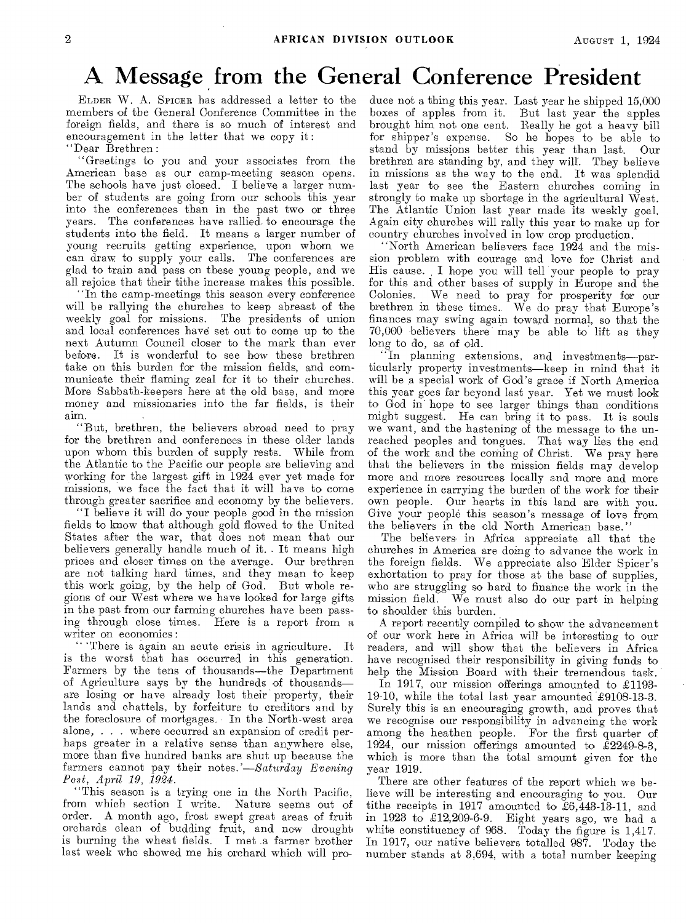# A Message from the General Conference President

ELDER W. A. SPICER has addressed a letter to the members of the General Conference Committee in the foreign fields, and there is so much of interest and encouragement in the letter that we copy it : "Dear Brethren :

"Greetings to you and your associates from the American base as our camp-meeting season opens. The schools have just closed. I believe a larger number of students are going from our schools this year into the conferences than in the past two or three years. The conferences have rallied, to encourage the students into the field. It means a larger number of young recruits getting experience, upon whom we can draw to supply your calls. The conferences are glad to train and pass on these young people, and we all rejoice that their tithe increase makes this possible.

"In the camp-meetings this season every conference will be rallying the churches to keep abreast of the weekly goal for missions. The presidents of union and local conferences have set out to cone up to the next Autumn Council closer to the mark than ever before. It is wonderful to see how these brethren take on this burden for the mission fields, and communicate their flaming zeal for it to their churches. More Sabbath-keepers here at the old base, and more money and missionaries into the far fields, is their aim.

"But, brethren, the believers abroad need to pray for the brethren and conferences in these older lands upon whom this burden of supply rests. While from the Atlantic to the Pacific our people are believing and working for the largest gift in 1924 ever yet made for missions, we face the fact that it will have to come through greater sacrifice and economy by the believers.

"I believe it will do your people good in the mission fields to know that although gold flowed to the United States after the war, that does not mean that our believers generally handle much of it.. It means high prices and closer times on the average. Our brethren are not talking hard times, and they mean to keep this work going, by the help of God. But whole regions of our West where we have looked for large gifts in the past from our farming churches have been passing through close times. Here is a report from a writer on economics :

" 'There is again an acute crisis in agriculture. It is the worst that has occurred in this generation. Farmers by the tens of thousands—the Department of Agriculture says by the hundreds of thousands are losing or have already lost their property, their lands and chattels, by forfeiture to creditors and by the foreclosure of mortgages. In the North-west area alone, . . . where occurred an expansion of credit perhaps greater in a relative sense than anywhere else, more than five hundred banks are shut up because the farmers cannot pay their notes.'—Saturday *Evening Post, April 19, 1924.* 

"This season is a trying one in the North Pacific, from which section I write. Nature seems out of order. A month ago, frost swept great areas of fruit orchards clean of budding fruit, and now drought is burning the wheat fields. I met a farmer brother last week who showed me his orchard which will produce not a thing this year. Last year he shipped 15,000 boxes of apples from it. But last year the apples brought him not one cent. Really he got a heavy bill for shipper's expense. So he hopes to be able to stand by missions better this year than last. Our brethren are standing by, and they will. They believe in missions as the way to the end. It was splendid last year to see the Eastern churches coming in strongly to make up shortage in the agricultural West. The Atlantic Union last year made its weekly goal. Again city churches will rally this year to make up for country churches involved in low crop production.

"North American believers face 1924 and the mission problem with courage and love for Christ and His cause. I hope you will tell your people to pray for this and other bases of supply in Europe and the Colonies. We need to pray for prosperity for our brethren in these times.. We do pray that Europe's finances may swing again toward normal, so that the 70,000 believers there may be able to lift as they long to do, as of old.

"In planning extensions, and investments—particularly property investments—keep in mind that it will be a special work of God's grace if North America this year goes far beyond last year. Yet we must look to God in hope to see larger things than conditions might suggest. He can bring it to pass. It is souls we want, and the hastening of the message to the unreached peoples and tongues. That way lies the end of the work and the coming of Christ. We pray here that the believers in the mission fields may develop more and more resources locally and more and more experience in carrying the burden of the work for their own people. Our hearts in this land are with you. Give your people this season's message of love from the believers in the old North American base."

The believers• in Africa appreciate all that the churches in America are doing to advance the work in the foreign fields. We appreciate also Elder Spicer's exhortation to pray for those at the base of supplies, who are struggling so hard to finance the work in the mission field. We must also do our part in helping to shoulder this burden.

A report recently compiled to show the advancement of our work here in Africa will be interesting to our readers, and will show that the believers in Africa have recognised their responsibility in giving funds to help the Mission Board with their tremendous task.

In 1917, our mission offerings amounted to £1193- 19-10, while the total last year amounted £9108-13-3. Surely this is an encouraging growth, and proves that we recognise our responsibility in advancing the work among the heathen people. For the first quarter of 1924, our mission offerings amounted to £2249-8-3, which is more than the total amount given for the year 1919.

There are other features of the report which we believe will be interesting and encouraging to you. Our tithe receipts in 1917 amounted to £6,443-13-11, and in 1923 to £12,209-6-9. Eight years ago, we had a white constituency of 968. Today the figure is 1,417. In 1917, our native believers totalled 987. Today the number stands at 3,694, with a total number keeping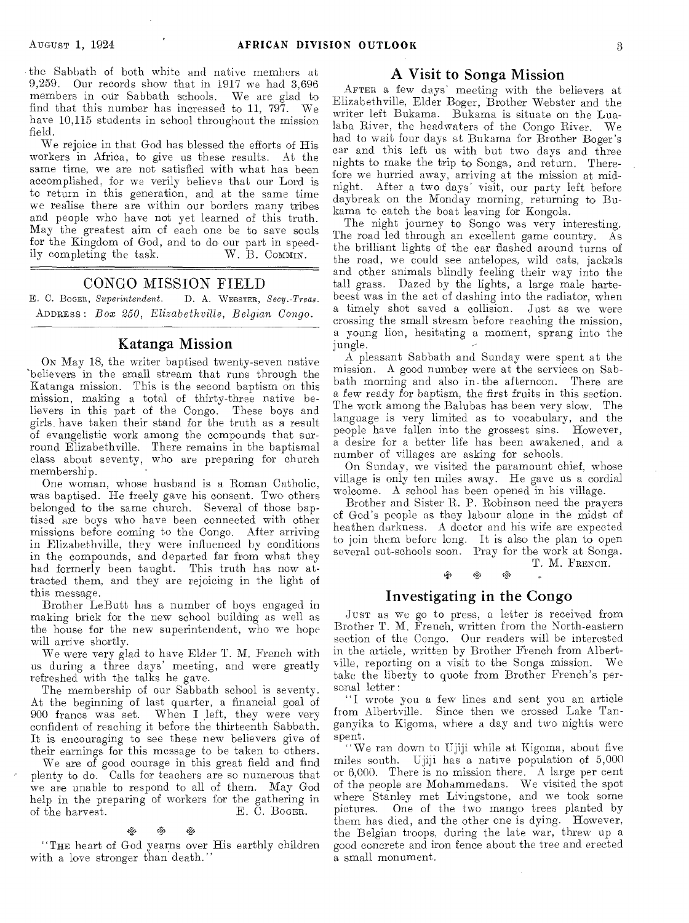the Sabbath of both white and native members at 9,259. Our records show that in 1917 we had 3,696 members in our Sabbath schools. We are glad to find that this number has increased to 11, 797. We have 10,115 students in school throughout the mission field.

We rejoice in that God has blessed the efforts of His workers in Africa, to give us these results. At the same time, we are not satisfied with what has been accomplished, for we verily believe that our Lord is to return in this generation, and at the same time we realise there are within our borders many tribes and people who have not yet learned of this truth. May the greatest aim of each one be to save souls for the Kingdom of God, and to do our part in speedily completing the task.  $W. \tilde{B}$ . Commin.

### CONGO MISSION FIELD

E. C. BOGER, *Superintendent.* I). A. WEBSTER, *Secy.-Treas.*  ADDRESS : *Box 250, Elizabethville, Belgian Congo.* 

#### Katanga Mission

ON May 18, the writer baptised twenty-seven native 'believers in the small stream that runs through the Katanga mission. This is the second baptism on this mission, making a total of thirty-three native believers in this part of the Congo. These **boys** and girls. have taken their stand for the truth as a result of evangelistic work among the compounds that surround Elizabethville. There remains in the baptismal class about seventy, who are preparing for church membership.

One woman, whose husband is a Roman Catholic, was baptised. He freely gave his consent. Two others belonged to the same church. Several of those baptised are boys who have been connected with other missions before coming to the Congo. After arriving in Elizabethville, they were influenced by conditions in the compounds, and departed far from what they had formerly been taught. This truth has now attracted them, and they are rejoicing in the light of this message.

Brother LeButt has **a** number of boys **engaged in**  making brick for the **new** school **building as well** as the house for the new superintendent, who we hope will arrive shortly.

We **were** *very* glad to have Elder T. M. French with us during a three days' meeting, and were greatly refreshed with the talks he gave.

The membership of our Sabbath school is seventy. At the beginning of last quarter, a financial **goal** of 900 francs was set. When I left, they were very confident of reaching it before the thirteenth Sabbath. It is encouraging to see these new believers give of their earnings for this **message** to be taken to others.

We are of good courage in this **great** field and find plenty to do. Calls for teachers are so numerous that we are unable to respond to all of them. May God help in the preparing of workers for the gathering in<br>of the harvest. E. C. Bogen. E. C. BOGER.

### r<br><sub>C</sub>oop &

"THE heart of God yearns over His earthly children with a love stronger than death."

#### A Visit to Songa Mission

AFTER a few days' meeting with the believers at Elizabethville, Elder Boger, Brother Webster and the writer left Bukama. Bukama is situate on the Lualaba River, the headwaters of the Congo River. We had to wait four days at Bukama for Brother Boger's car and this left us with but two days and three nights to make the trip to Songa, and return. Therefore we hurried away, arriving at the mission at midnight. After a **two days'** visit, our party left before daybreak on the Monday morning, returning to Bukama to catch the boat leaving for Kongola.

The night journey to Songo was very interesting. The road led through an excellent game country. As the brilliant lights of the car flashed around turns of the road, we could see antelopes, wild cats, jackals and other animals blindly feeling their way into the tall grass. Dazed by the lights, a large male hartebeest was in the **act** of dashing into the radiator, when **a timely** shot saved a collision. Just as we were **crossing** the small stream before reaching the mission, **a young** lion, hesitating a moment, sprang into the jungle.

A pleasant Sabbath and Sunday were spent at the mission. A good number were at the services on Sabbath morning and also in. the afternoon. There are a few **ready** for baptism, the first fruits **in** this section. The **work among** the Balubas has been very **slow.** The language is very limited as to vocabulary, and the **people have fallen** into the **grossest** sins. However, a desire for a better life has **been** awakened, **and a**  number of **villages** are asking **for** schools.

On Sunday, we visited the paramount chief, whose village is only **ten** miles away. He gave us **a cordial**  welcome. A school has been opened **in his village.** 

Brother and Sister R. P. Robinson need the **prayers**  of God's people **as** they labour alone in the **midst of**  heathen darkness. **A** doctor and his wife are expected **to** join them **before** long. It is also the plan to open **several** out-schools soon. Pray for the work at Songa.

T. M. FRENCH.

#### ego. Investigating in the Congo

JUST as we go to press, a letter is received from Brother T. M. **French, written** from the North-eastern section of the Congo. Our readers will be interested in the article, **written** by Brother French from Albertville, reporting on a visit to the Songa mission. We take the liberty **to** quote from Brother French's personal letter :

"I wrote you **a few** lines and **sent you** an article from Albertville. Since then we crossed Lake Tanganyika to Kigoma, where a day **and two nights were spent.** 

**"We** ran down to Ujiji while at Kigoma, about five miles south. Ujiji has a native population of **5,000 or 6,000.** There is no mission there. A large per cent of **the people** are Mohammedans. We visited **the** spot where Stanley met Livingstone, and we took some pictures. One of the **two mango** trees planted by them has died, and the other one is **dying.** However, the Belgian troops, during the late war, threw up a good concrete and iron fence about the **tree** and erected **a small** monument.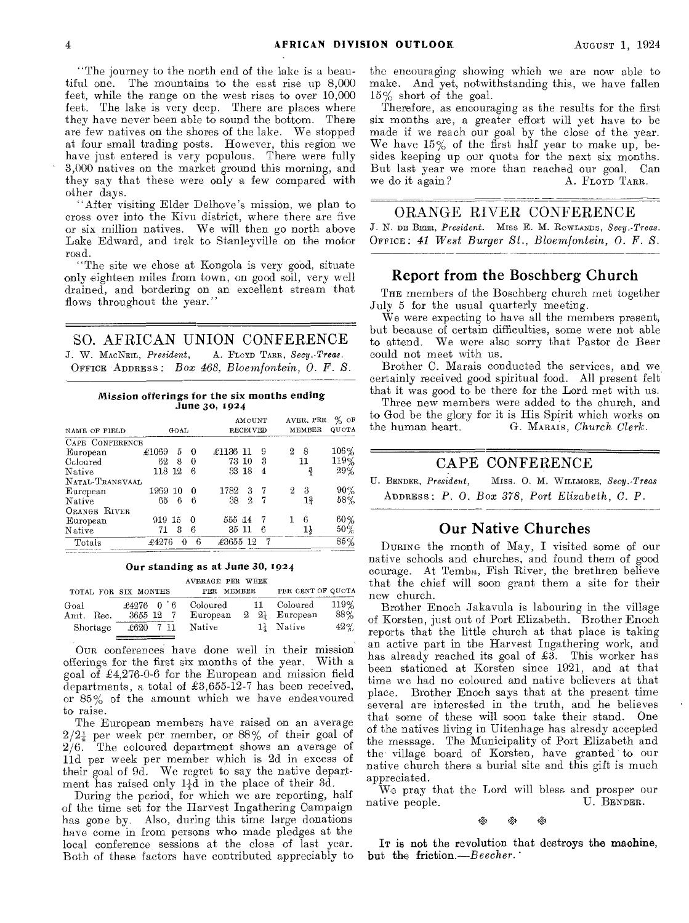"The journey to the north end of the lake is a beautiful one. The mountains to the east rise up 8,000 feet, while the range on the west rises to over 10,000 feet. The lake is very deep. There are places where they have never been able to sound the bottom. There are few natives on the shores of the lake. We stopped at four small trading posts. However, this region we have just entered is very populous. There were fully 3,000 natives on the market ground this morning, and they say that these were only a few compared with other days.

"After visiting Elder Delhove's mission, we plan to cross over into the Kivu district, where there are five or six million natives. We will then go north above Lake Edward, and trek to Stanleyville on the motor road.

"The site we chose at Kongola is very good, situate only eighteen miles from town, on good soil, very well drained, and bordering on an excellent stream that flows throughout the year."

SO. AFRICAN UNION CONFERENCE

*J. W.* MACNEIL, *President,* A. FLOYD TARR, *Secy.-Treas.*  OFFICE -ADDRESS: *Box 468, Bloemfontein, 0. F. S.* 

Mission offerings for the six months ending June 3o, 1924

|                 |         |      |          |          | AMOUNT          |                |        | AVER, PER | %<br>ΟF |
|-----------------|---------|------|----------|----------|-----------------|----------------|--------|-----------|---------|
| NAME OF FIELD   |         | GOAL |          |          | <b>RECEIVED</b> |                | MEMBER | QUOTA     |         |
| CAPE CONFERENCE |         |      |          |          |                 |                |        |           |         |
| European        | £1069   | 5    | - 0      | £1136 11 |                 | 9              | 2      | 8         | 106%    |
| Coloured        | 62      | 8    | 0        |          | 73 10           | 3              |        | 11        | 119%    |
| Native          | 118 12  |      | 6        |          | 33 18           | 4              |        | ្នុ       | 29%     |
| NATAL-TRANSVAAL |         |      |          |          |                 |                |        |           |         |
| European        | 1969 10 |      | $\Omega$ | 1782     | 3               | - 7            | 2      | 3         | 90%     |
| Native          | 65.     | 6    | 6        | 38       | 2               | 7              |        | 13        | 58%     |
| ORANGE RIVER    |         |      |          |          |                 |                |        |           |         |
| European        | 919 15  |      | $\bf{0}$ | 555 14   |                 | $\overline{7}$ |        | 6         | 60%     |
| Native          | 71      | 3    | 6        |          | 35 11           | 6              |        | 1ł        | $50\%$  |
| Totals          | £4276   | 0    | 6        | £3655 12 |                 | 7              |        |           | 85%     |

#### Our standing as at June 30, 1924

AVERAGE PER WEEK

|                               | TOTAL FOR SIX MONTHS                      | PER MEMBER                     | PER CENT OF QUOTA                                                           |
|-------------------------------|-------------------------------------------|--------------------------------|-----------------------------------------------------------------------------|
| Goal<br>Amt. Rec.<br>Shortage | $\pounds4276$ 0 6<br>3655 12<br>£620 7 11 | Coloured<br>European<br>Native | $119\%$<br>11 Coloured<br>88%<br>$2\quad 2$ European<br>$42\%$<br>1} Native |

OUR conferences have done well in their mission offerings for the first six months of the year. With a goal of £4,276-0-6 for the European and mission field departments, a total of £3,655-12-7 has been received, or 85% of the amount which we have endeavoured to raise.

The European members have raised on an average  $2/2<sub>4</sub><sup>1</sup>$  per week per member, or 88% of their goal of 2/6. The coloured department shows an average of lid per week per member which is 2d in excess of their goal of 9d. We regret to say the native department has raised only  $1\frac{1}{4}d$  in the place of their 3d.

During the period, for which we are reporting, half of the time set for the Harvest Ingathering Campaign has gone by. Also, during this time large donations have come in from persons who made pledges at the local conference sessions at the close of last year. Both of these factors have contributed appreciably to

the encouraging showing which we are now able to make. And yet, notwithstanding this, we have fallen 15% short of the goal.

Therefore, as encouraging as the results for the first six months are, a greater effort will yet have to be made if we reach our goal by the close of the year. We have  $15\%$  of the first half year to make up, besides keeping up our quota for the next six months. But last year we more than reached our goal. Can we do it again? A. FLOYD TARR. we do it again?

#### ORANGE RIVER CONFERENCE

*J. N.* DE BEER, *President.* Miss E. M. ROWLANDS, *Secy.-Treas.*  OFFICE: *41 West Burger St., Bloemfontein, 0. F. S.* 

#### Report from the Boschberg Church

THE members of the Boschberg church met together July 5 for the usual quarterly meeting.

We were expecting to have all the members present, but because of certain difficulties, some were not able to attend. We were also sorry that Pastor de Beer could not meet with us.

Brother C. Marais conducted the services, and we certainly received good spiritual food. All present felt that it was good to be there for the Lord met with us.

Three new members were added to the church, and to God be the glory for it is His Spirit which works on the human heart. G. MARAIS, Church Clerk. the human heart. G. MARAIS, *Church Clerk.* 

#### CAPE CONFERENCE

U. BENDER, *President,* Miss. 0. M. WILLMORE, *Secy.-Treas*  ADDRESS : *P. 0. Box 378, Port Elizabeth, C. P.* 

#### Our Native Churches

DURING the month of May, I visited some of our native schools and churches, and found them of good courage. At Temba, Fish River, the brethren believe that the chief will soon grant them a site for their new church.

Brother Enoch Jakavula is labouring in the village of Korsten, just out of Port Elizabeth. Brother Enoch reports that the little church at that place is taking an active part in the Harvest Ingathering work, and has already reached its goal of £3. This worker has been stationed at Korsten since 1921, and at that time we had no coloured and native believers at that place. Brother Enoch says that at the present time several are interested in the truth, and he believes that some of these will soon take their stand. One of the natives living in Uitenhage has already accepted the message. The Municipality of Port Elizabeth and the village board of Korsten, have granted to our native church there a burial site and this gift is much appreciated.

We pray that the Lord will bless and prosper our tive people. U. BENDER. native people.

• • °a

IT is not the revolution that destroys the machine, but the friction.—Beecher.'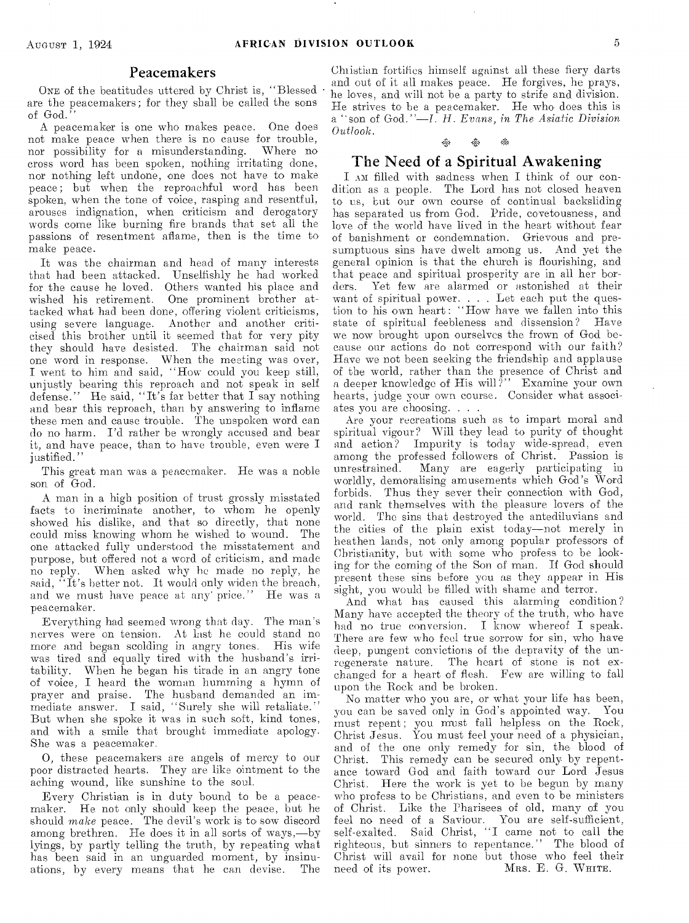#### Peacemakers

ONE of the beatitudes uttered by Christ is, "Blessed are the peacemakers; for they shall be called the sons of God."

A peacemaker is one who **makes peace.** One does not make peace when there is **no cause** for trouble, nor possibility for a misunderstanding. cross word has been spoken, nothing irritating done, nor nothing left undone, one does not have to make peace; but when the **reproachful** word has been spoken, when the tone of voice, rasping and resentful, arouses indignation, when criticism and derogatory words come like burning fire brands that set all the passions of resentment aflame, then is the time to make peace.

It was the chairman and head of many interests that had been attacked. Unselfishly he had **worked**  for the cause he loved. Others wanted his place **and**  wished his retirement. One prominent brother attacked what had been done, offering violent criticisms, using severe language. Another and another criticised this brother until it seemed that **for** very pity they should have desisted. The chairman said not one word in response. When the **meeting was** over, I went to him and **said,** "How could **you keep** still, unjustly hearing this **reproach and** not **speak** in self defense." He said, "It's **far better** that **I say** nothing and bear this reproach, than **by** answering to inflame these men and cause trouble. The unspoken word can do no harm. I'd rather be wrongly accused and bear it, and have peace, than to **have** trouble, even were **I justified."** 

This great man **was a peacemaker.** He **was a** noble son of God.

A man in a high position of **trust** grossly misstated facts to incriminate another, **to** whom he openly showed his dislike, and that **so** directly, that none could miss knowing whom **he wished to** wound. The one attacked fully understood the misstatement and purpose, but offered not a word of criticism, and made no reply. When asked why he made no reply, he said, "It's better **not. It would** only **widen** the **breach, and we** must have **peace at any' price."** He **was a**  peacemaker.

Everything **had** seemed **wrong** that **day.** The man's nerves were **on** tension. **At last he could** stand no **more** and began scolding in angry tones. His wife was tired and equally tired with the husband's irritability. When he began his tirade in an angry tone of voice, I heard the woman humming a hymn of **prayer** and praise. The husband demanded an immediate answer. I said, "Surely she will retaliate." But when she spoke it was in such soft, kind tones, and with a smile that **brought** immediate apology. She was a peacemaker.

0, these peacemakers are **angels** of mercy to our poor distracted hearts. They are like ointment to the aching wound, like sunshine to the soul.

Every Christian is in duty bound to **be** a peacemaker. He not only should keep the **peace, but** he should *make* peace. The devil's work is **to sow** discord among brethren. He does it in all **sorts of** ways,—by lyings, by partly telling the truth, by repeating what has been said in an unguarded **moment,** by insinuations, by every means that he can devise.

Christian fortifies himself **against** all these fiery darts and **out of** it all makes **peace.** He forgives, he prays, he loves, **and** will **not be a party** to strife and division. He strives **to** be a peacemaker. He who does this is a "son of God."—I. *H.* **Evans,** *in The Asiatic Division Outlook.* 

#### $\frac{1}{2}$  $\mathcal{S}_0$

#### The Need of a Spiritual Awakening

I Au filled with sadness when I think of our condition as a people. The Lord has not closed heaven to us, **but our** own course of continual backsliding has **separated** us from God. Pride, covetousness, and love **of the** world have lived in the heart without fear of banishment or condemnation. Grievous and presumptuous sins have dwelt among us. And yet the general opinion is that the church is flourishing, and **that peace** and spiritual prosperity are in all her bor-Yet few are alarmed or astonished at their want of spiritual **power. . . Let each** put the question to his own heart: "How have we fallen into this state of spiritual feebleness and dissension? Have state of spiritual feebleness and dissension? **we now** brought upon **ourselves** the frown of God because **our** actions do not correspond with our faith? Have we not been seeking the friendship and applause of the world, rather than the presence of Christ and a deeper knowledge of His will?" Examine your own **hearts, judge your** own course. Consider what associates **you are choosing. . . .** 

Are your recreations such as to impart moral and spiritual vigour? Will they lead to purity of thought and action? Impurity is today wide-spread, even among the professed **followers of** Christ. Passion is Many are eagerly participating in worldly, demoralising **amusements** which God's Word forbids. Thus they sever their connection with God, and rank themselves with the **pleasure** lovers of the world. The sins that destroyed the antediluvians and the cities of the plain exist today—not **merely** in heathen lands, not only **among** popular **professors** of Christianity, **but with** some who profess to **be** looking for the **coming of the Son** of man. If **God** should present these sins before you as they appear in His sight, you **would be filled** with **shame and terror.** 

**And what has** caused this alarming condition? Many have **accepted the** theory **of** the truth, who have had **no true conversion.** I **know** whereof I speak. There are **few who feel** true sorrow **for sin,** who have deep, pungent convictions of the depravity of the unregenerate nature. The heart of **stone** is not exchanged for a **heart of flesh.** Few **are** willing to fall upon the Rock **and be broken.** 

No matter **who** you are, or what your life has been, you can be **saved** only in God's appointed way. You must repent; you must fall helpless on the Rock, Christ Jesus. You must feel your need of a physician, and of the **one** only remedy for sin, the blood of **Christ. This remedy** can be **secured** only by repentance toward **God and** faith **toward** our Lord Jesus Christ. Here the **work is** yet **to** be begun by many who profess to be **Christians, and** even to be ministers of Christ. Like the **Pharisees** of old, many of you feel no need of a **Saviour.** You are self-sufficient, **self-exalted. Said Christ,** "I **came** not to call the righteous, but sinners to repentance." The blood of Christ will avail for none but those who feel their need of its power. MRS. E. G. WHITE.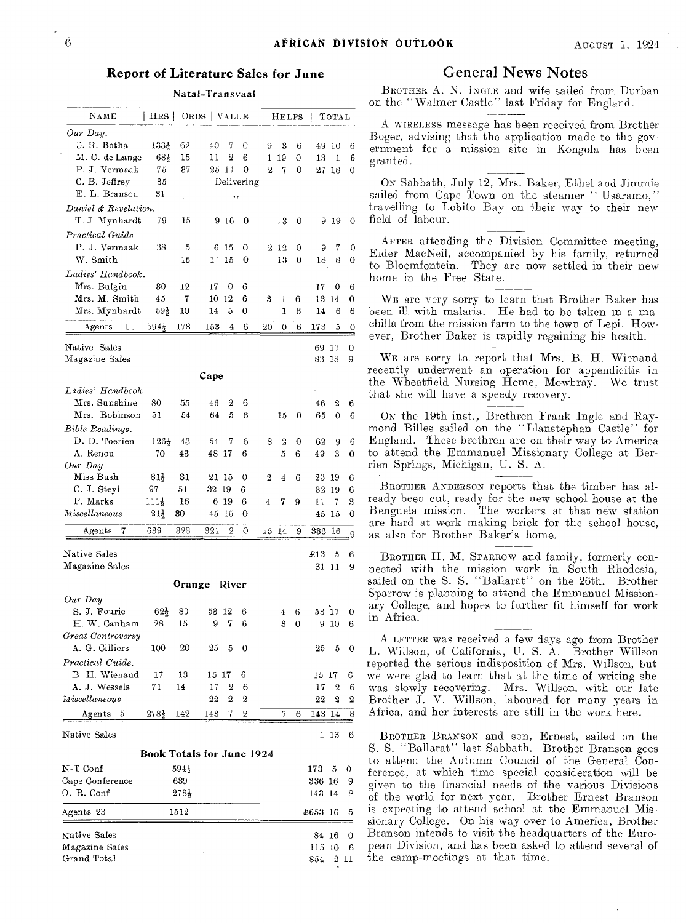#### **Report of Literature Sales for June**

Nata1=Transvaal

| Our Day.<br>J. R. Botha<br>133}<br>62<br>40<br>e<br>7<br>9<br>3<br>6<br>49<br>10<br>6<br>M. C. de Lange<br>$68\frac{1}{2}$<br>2<br>6<br>15<br>11<br>1<br>19<br>6<br>0<br>13<br>1<br>P. J. Vermaak<br>75<br>37<br>-11<br>0<br>$\overline{2}$<br>25<br>7<br>0<br>$27\,$ $18$<br>0<br>C. B. Jeffrey<br>35<br>Delivering<br>E. L. Branson<br>31<br>,,<br>Daniel & Revelation.<br>T. J Mynhardt<br>79<br>15<br>916<br>0<br>, 3<br>0<br>919<br>0<br>Practical Guide.<br>P. J. Vermaak<br>38<br>5<br>6<br>15<br>0<br>2<br>-12<br>0<br>7<br>9<br>0<br>W. Smith<br>1Ŧ<br>15<br>8<br>15<br>0<br>13<br>0<br>0<br>18<br>Ladies' Handbook.<br>Mrs. Bulgin<br>30<br>12<br>17<br>0<br>6<br>17<br>0<br>6<br>Mrs. M. Smith<br>12<br>45<br>7<br>6<br>10<br>3<br>6<br>13<br>14<br>1<br>0<br>Mrs. Mynhardt<br>$59\frac{1}{2}$<br>5<br>0<br>1<br>10<br>14<br>6<br>14<br>6<br>6<br>11<br>$594\frac{1}{2}$<br>178<br>153<br>6<br>Agents<br>4<br>20<br>0<br>6<br>173<br>5<br>0<br>Native Sales<br>$\bf{0}$<br>69<br>17<br>Magazine Sales<br>83 18<br>9<br>Cape<br>Ladies' Handbook<br>Mrs. Sunshine<br>80<br>55<br>46<br>2<br>6<br>46<br>2<br>6<br>Mrs. Robinson<br>5<br>6<br>51<br>54<br>64<br>65<br>15<br>0<br>0<br>6<br>Bible Readings.<br>D. D. Toerien<br>$126\frac{1}{2}$<br>6<br>8<br>2<br>43<br>54<br>7<br>0<br>62<br>9<br>6<br>A. Renou<br>70<br>43<br>48 17<br>6<br>5<br>3<br>6<br>49<br>0<br>Our Day<br>Miss Bush<br>81,<br>31<br>21<br>15<br>0<br>2<br>$\bf 4$<br>6<br>23<br>19<br>6<br>C. J. Steyl<br>97<br>51<br>32<br>19<br>6<br>32<br>6<br>19<br>P. Marks<br>19<br>111}<br>16<br>6<br>6<br>7<br>9<br>7<br>3<br>4<br>t 1<br>Miscellaneous<br>$21\frac{1}{2}$<br>30<br>45<br>15<br>0<br>15<br>0<br>45<br>323<br>2<br>639<br>321<br>0<br>336<br>$_{\rm Agents}$<br>7<br>15<br>14<br>9<br>16<br>9<br>Native Sales<br>$\pounds13$<br>5<br>6<br>Magazine Sales<br>31<br>11<br>9<br>Orange<br>River<br>Our Day<br>S. J. Fourie<br>53 17<br>$62\frac{1}{2}$<br>80<br>53<br>-12<br>6<br>6<br>0<br>4<br>7<br>H. W. Canham<br>28<br>15<br>9<br>6<br>3<br>0<br>9<br>10<br>6<br>Great Controversy<br>A. G. Cilliers<br>100<br>20<br>25<br>5<br>0<br>25<br>5<br>0<br>Practical Guide.<br>B. H. Wienand<br>17<br>13<br>6<br>6<br>15<br>-17<br>15 17<br>A. J. Wessels<br>2<br>71<br>14<br>17<br>6<br>2<br>17<br>6<br>2<br>Miscellaneous<br>22<br>2<br>22<br>2<br>2<br>7<br>2<br>5<br>$278\}$<br>142<br>143<br>143<br>14<br>8<br>$_{\rm Agents}$<br>7<br>6<br>-13<br>6<br>1<br><b>Book Totals for June 1924</b><br>N-T Conf<br>594}<br>173<br>5<br>0<br>639<br>Cape Conference<br>336 16<br>9<br>$278\frac{1}{2}$<br>143 14<br>8<br>1512<br>$\pounds653$<br>16<br>5<br>Native Sales<br>84 16<br>0<br>Magazine Sales<br>115<br>10<br>6<br>$2\,$ 11 | $_{\rm NAME}$ | HRS | ORDS   VALUE |  | HELPS |     | TOTAL |  |
|--------------------------------------------------------------------------------------------------------------------------------------------------------------------------------------------------------------------------------------------------------------------------------------------------------------------------------------------------------------------------------------------------------------------------------------------------------------------------------------------------------------------------------------------------------------------------------------------------------------------------------------------------------------------------------------------------------------------------------------------------------------------------------------------------------------------------------------------------------------------------------------------------------------------------------------------------------------------------------------------------------------------------------------------------------------------------------------------------------------------------------------------------------------------------------------------------------------------------------------------------------------------------------------------------------------------------------------------------------------------------------------------------------------------------------------------------------------------------------------------------------------------------------------------------------------------------------------------------------------------------------------------------------------------------------------------------------------------------------------------------------------------------------------------------------------------------------------------------------------------------------------------------------------------------------------------------------------------------------------------------------------------------------------------------------------------------------------------------------------------------------------------------------------------------------------------------------------------------------------------------------------------------------------------------------------------------------------------------------------------------------------------------------------------------------------------------------------------------------------------------------------------------------------------------------------------------------------------------------------------------------------------------------------------------------------------------------------------------|---------------|-----|--------------|--|-------|-----|-------|--|
|                                                                                                                                                                                                                                                                                                                                                                                                                                                                                                                                                                                                                                                                                                                                                                                                                                                                                                                                                                                                                                                                                                                                                                                                                                                                                                                                                                                                                                                                                                                                                                                                                                                                                                                                                                                                                                                                                                                                                                                                                                                                                                                                                                                                                                                                                                                                                                                                                                                                                                                                                                                                                                                                                                                          |               |     |              |  |       |     |       |  |
|                                                                                                                                                                                                                                                                                                                                                                                                                                                                                                                                                                                                                                                                                                                                                                                                                                                                                                                                                                                                                                                                                                                                                                                                                                                                                                                                                                                                                                                                                                                                                                                                                                                                                                                                                                                                                                                                                                                                                                                                                                                                                                                                                                                                                                                                                                                                                                                                                                                                                                                                                                                                                                                                                                                          |               |     |              |  |       |     |       |  |
|                                                                                                                                                                                                                                                                                                                                                                                                                                                                                                                                                                                                                                                                                                                                                                                                                                                                                                                                                                                                                                                                                                                                                                                                                                                                                                                                                                                                                                                                                                                                                                                                                                                                                                                                                                                                                                                                                                                                                                                                                                                                                                                                                                                                                                                                                                                                                                                                                                                                                                                                                                                                                                                                                                                          |               |     |              |  |       |     |       |  |
|                                                                                                                                                                                                                                                                                                                                                                                                                                                                                                                                                                                                                                                                                                                                                                                                                                                                                                                                                                                                                                                                                                                                                                                                                                                                                                                                                                                                                                                                                                                                                                                                                                                                                                                                                                                                                                                                                                                                                                                                                                                                                                                                                                                                                                                                                                                                                                                                                                                                                                                                                                                                                                                                                                                          |               |     |              |  |       |     |       |  |
|                                                                                                                                                                                                                                                                                                                                                                                                                                                                                                                                                                                                                                                                                                                                                                                                                                                                                                                                                                                                                                                                                                                                                                                                                                                                                                                                                                                                                                                                                                                                                                                                                                                                                                                                                                                                                                                                                                                                                                                                                                                                                                                                                                                                                                                                                                                                                                                                                                                                                                                                                                                                                                                                                                                          |               |     |              |  |       |     |       |  |
|                                                                                                                                                                                                                                                                                                                                                                                                                                                                                                                                                                                                                                                                                                                                                                                                                                                                                                                                                                                                                                                                                                                                                                                                                                                                                                                                                                                                                                                                                                                                                                                                                                                                                                                                                                                                                                                                                                                                                                                                                                                                                                                                                                                                                                                                                                                                                                                                                                                                                                                                                                                                                                                                                                                          |               |     |              |  |       |     |       |  |
|                                                                                                                                                                                                                                                                                                                                                                                                                                                                                                                                                                                                                                                                                                                                                                                                                                                                                                                                                                                                                                                                                                                                                                                                                                                                                                                                                                                                                                                                                                                                                                                                                                                                                                                                                                                                                                                                                                                                                                                                                                                                                                                                                                                                                                                                                                                                                                                                                                                                                                                                                                                                                                                                                                                          |               |     |              |  |       |     |       |  |
|                                                                                                                                                                                                                                                                                                                                                                                                                                                                                                                                                                                                                                                                                                                                                                                                                                                                                                                                                                                                                                                                                                                                                                                                                                                                                                                                                                                                                                                                                                                                                                                                                                                                                                                                                                                                                                                                                                                                                                                                                                                                                                                                                                                                                                                                                                                                                                                                                                                                                                                                                                                                                                                                                                                          |               |     |              |  |       |     |       |  |
|                                                                                                                                                                                                                                                                                                                                                                                                                                                                                                                                                                                                                                                                                                                                                                                                                                                                                                                                                                                                                                                                                                                                                                                                                                                                                                                                                                                                                                                                                                                                                                                                                                                                                                                                                                                                                                                                                                                                                                                                                                                                                                                                                                                                                                                                                                                                                                                                                                                                                                                                                                                                                                                                                                                          |               |     |              |  |       |     |       |  |
|                                                                                                                                                                                                                                                                                                                                                                                                                                                                                                                                                                                                                                                                                                                                                                                                                                                                                                                                                                                                                                                                                                                                                                                                                                                                                                                                                                                                                                                                                                                                                                                                                                                                                                                                                                                                                                                                                                                                                                                                                                                                                                                                                                                                                                                                                                                                                                                                                                                                                                                                                                                                                                                                                                                          |               |     |              |  |       |     |       |  |
|                                                                                                                                                                                                                                                                                                                                                                                                                                                                                                                                                                                                                                                                                                                                                                                                                                                                                                                                                                                                                                                                                                                                                                                                                                                                                                                                                                                                                                                                                                                                                                                                                                                                                                                                                                                                                                                                                                                                                                                                                                                                                                                                                                                                                                                                                                                                                                                                                                                                                                                                                                                                                                                                                                                          |               |     |              |  |       |     |       |  |
|                                                                                                                                                                                                                                                                                                                                                                                                                                                                                                                                                                                                                                                                                                                                                                                                                                                                                                                                                                                                                                                                                                                                                                                                                                                                                                                                                                                                                                                                                                                                                                                                                                                                                                                                                                                                                                                                                                                                                                                                                                                                                                                                                                                                                                                                                                                                                                                                                                                                                                                                                                                                                                                                                                                          |               |     |              |  |       |     |       |  |
|                                                                                                                                                                                                                                                                                                                                                                                                                                                                                                                                                                                                                                                                                                                                                                                                                                                                                                                                                                                                                                                                                                                                                                                                                                                                                                                                                                                                                                                                                                                                                                                                                                                                                                                                                                                                                                                                                                                                                                                                                                                                                                                                                                                                                                                                                                                                                                                                                                                                                                                                                                                                                                                                                                                          |               |     |              |  |       |     |       |  |
|                                                                                                                                                                                                                                                                                                                                                                                                                                                                                                                                                                                                                                                                                                                                                                                                                                                                                                                                                                                                                                                                                                                                                                                                                                                                                                                                                                                                                                                                                                                                                                                                                                                                                                                                                                                                                                                                                                                                                                                                                                                                                                                                                                                                                                                                                                                                                                                                                                                                                                                                                                                                                                                                                                                          |               |     |              |  |       |     |       |  |
|                                                                                                                                                                                                                                                                                                                                                                                                                                                                                                                                                                                                                                                                                                                                                                                                                                                                                                                                                                                                                                                                                                                                                                                                                                                                                                                                                                                                                                                                                                                                                                                                                                                                                                                                                                                                                                                                                                                                                                                                                                                                                                                                                                                                                                                                                                                                                                                                                                                                                                                                                                                                                                                                                                                          |               |     |              |  |       |     |       |  |
|                                                                                                                                                                                                                                                                                                                                                                                                                                                                                                                                                                                                                                                                                                                                                                                                                                                                                                                                                                                                                                                                                                                                                                                                                                                                                                                                                                                                                                                                                                                                                                                                                                                                                                                                                                                                                                                                                                                                                                                                                                                                                                                                                                                                                                                                                                                                                                                                                                                                                                                                                                                                                                                                                                                          |               |     |              |  |       |     |       |  |
|                                                                                                                                                                                                                                                                                                                                                                                                                                                                                                                                                                                                                                                                                                                                                                                                                                                                                                                                                                                                                                                                                                                                                                                                                                                                                                                                                                                                                                                                                                                                                                                                                                                                                                                                                                                                                                                                                                                                                                                                                                                                                                                                                                                                                                                                                                                                                                                                                                                                                                                                                                                                                                                                                                                          |               |     |              |  |       |     |       |  |
|                                                                                                                                                                                                                                                                                                                                                                                                                                                                                                                                                                                                                                                                                                                                                                                                                                                                                                                                                                                                                                                                                                                                                                                                                                                                                                                                                                                                                                                                                                                                                                                                                                                                                                                                                                                                                                                                                                                                                                                                                                                                                                                                                                                                                                                                                                                                                                                                                                                                                                                                                                                                                                                                                                                          |               |     |              |  |       |     |       |  |
|                                                                                                                                                                                                                                                                                                                                                                                                                                                                                                                                                                                                                                                                                                                                                                                                                                                                                                                                                                                                                                                                                                                                                                                                                                                                                                                                                                                                                                                                                                                                                                                                                                                                                                                                                                                                                                                                                                                                                                                                                                                                                                                                                                                                                                                                                                                                                                                                                                                                                                                                                                                                                                                                                                                          |               |     |              |  |       |     |       |  |
|                                                                                                                                                                                                                                                                                                                                                                                                                                                                                                                                                                                                                                                                                                                                                                                                                                                                                                                                                                                                                                                                                                                                                                                                                                                                                                                                                                                                                                                                                                                                                                                                                                                                                                                                                                                                                                                                                                                                                                                                                                                                                                                                                                                                                                                                                                                                                                                                                                                                                                                                                                                                                                                                                                                          |               |     |              |  |       |     |       |  |
|                                                                                                                                                                                                                                                                                                                                                                                                                                                                                                                                                                                                                                                                                                                                                                                                                                                                                                                                                                                                                                                                                                                                                                                                                                                                                                                                                                                                                                                                                                                                                                                                                                                                                                                                                                                                                                                                                                                                                                                                                                                                                                                                                                                                                                                                                                                                                                                                                                                                                                                                                                                                                                                                                                                          |               |     |              |  |       |     |       |  |
|                                                                                                                                                                                                                                                                                                                                                                                                                                                                                                                                                                                                                                                                                                                                                                                                                                                                                                                                                                                                                                                                                                                                                                                                                                                                                                                                                                                                                                                                                                                                                                                                                                                                                                                                                                                                                                                                                                                                                                                                                                                                                                                                                                                                                                                                                                                                                                                                                                                                                                                                                                                                                                                                                                                          |               |     |              |  |       |     |       |  |
|                                                                                                                                                                                                                                                                                                                                                                                                                                                                                                                                                                                                                                                                                                                                                                                                                                                                                                                                                                                                                                                                                                                                                                                                                                                                                                                                                                                                                                                                                                                                                                                                                                                                                                                                                                                                                                                                                                                                                                                                                                                                                                                                                                                                                                                                                                                                                                                                                                                                                                                                                                                                                                                                                                                          |               |     |              |  |       |     |       |  |
|                                                                                                                                                                                                                                                                                                                                                                                                                                                                                                                                                                                                                                                                                                                                                                                                                                                                                                                                                                                                                                                                                                                                                                                                                                                                                                                                                                                                                                                                                                                                                                                                                                                                                                                                                                                                                                                                                                                                                                                                                                                                                                                                                                                                                                                                                                                                                                                                                                                                                                                                                                                                                                                                                                                          |               |     |              |  |       |     |       |  |
|                                                                                                                                                                                                                                                                                                                                                                                                                                                                                                                                                                                                                                                                                                                                                                                                                                                                                                                                                                                                                                                                                                                                                                                                                                                                                                                                                                                                                                                                                                                                                                                                                                                                                                                                                                                                                                                                                                                                                                                                                                                                                                                                                                                                                                                                                                                                                                                                                                                                                                                                                                                                                                                                                                                          |               |     |              |  |       |     |       |  |
|                                                                                                                                                                                                                                                                                                                                                                                                                                                                                                                                                                                                                                                                                                                                                                                                                                                                                                                                                                                                                                                                                                                                                                                                                                                                                                                                                                                                                                                                                                                                                                                                                                                                                                                                                                                                                                                                                                                                                                                                                                                                                                                                                                                                                                                                                                                                                                                                                                                                                                                                                                                                                                                                                                                          |               |     |              |  |       |     |       |  |
|                                                                                                                                                                                                                                                                                                                                                                                                                                                                                                                                                                                                                                                                                                                                                                                                                                                                                                                                                                                                                                                                                                                                                                                                                                                                                                                                                                                                                                                                                                                                                                                                                                                                                                                                                                                                                                                                                                                                                                                                                                                                                                                                                                                                                                                                                                                                                                                                                                                                                                                                                                                                                                                                                                                          |               |     |              |  |       |     |       |  |
|                                                                                                                                                                                                                                                                                                                                                                                                                                                                                                                                                                                                                                                                                                                                                                                                                                                                                                                                                                                                                                                                                                                                                                                                                                                                                                                                                                                                                                                                                                                                                                                                                                                                                                                                                                                                                                                                                                                                                                                                                                                                                                                                                                                                                                                                                                                                                                                                                                                                                                                                                                                                                                                                                                                          |               |     |              |  |       |     |       |  |
|                                                                                                                                                                                                                                                                                                                                                                                                                                                                                                                                                                                                                                                                                                                                                                                                                                                                                                                                                                                                                                                                                                                                                                                                                                                                                                                                                                                                                                                                                                                                                                                                                                                                                                                                                                                                                                                                                                                                                                                                                                                                                                                                                                                                                                                                                                                                                                                                                                                                                                                                                                                                                                                                                                                          |               |     |              |  |       |     |       |  |
|                                                                                                                                                                                                                                                                                                                                                                                                                                                                                                                                                                                                                                                                                                                                                                                                                                                                                                                                                                                                                                                                                                                                                                                                                                                                                                                                                                                                                                                                                                                                                                                                                                                                                                                                                                                                                                                                                                                                                                                                                                                                                                                                                                                                                                                                                                                                                                                                                                                                                                                                                                                                                                                                                                                          |               |     |              |  |       |     |       |  |
|                                                                                                                                                                                                                                                                                                                                                                                                                                                                                                                                                                                                                                                                                                                                                                                                                                                                                                                                                                                                                                                                                                                                                                                                                                                                                                                                                                                                                                                                                                                                                                                                                                                                                                                                                                                                                                                                                                                                                                                                                                                                                                                                                                                                                                                                                                                                                                                                                                                                                                                                                                                                                                                                                                                          |               |     |              |  |       |     |       |  |
|                                                                                                                                                                                                                                                                                                                                                                                                                                                                                                                                                                                                                                                                                                                                                                                                                                                                                                                                                                                                                                                                                                                                                                                                                                                                                                                                                                                                                                                                                                                                                                                                                                                                                                                                                                                                                                                                                                                                                                                                                                                                                                                                                                                                                                                                                                                                                                                                                                                                                                                                                                                                                                                                                                                          |               |     |              |  |       |     |       |  |
|                                                                                                                                                                                                                                                                                                                                                                                                                                                                                                                                                                                                                                                                                                                                                                                                                                                                                                                                                                                                                                                                                                                                                                                                                                                                                                                                                                                                                                                                                                                                                                                                                                                                                                                                                                                                                                                                                                                                                                                                                                                                                                                                                                                                                                                                                                                                                                                                                                                                                                                                                                                                                                                                                                                          |               |     |              |  |       |     |       |  |
|                                                                                                                                                                                                                                                                                                                                                                                                                                                                                                                                                                                                                                                                                                                                                                                                                                                                                                                                                                                                                                                                                                                                                                                                                                                                                                                                                                                                                                                                                                                                                                                                                                                                                                                                                                                                                                                                                                                                                                                                                                                                                                                                                                                                                                                                                                                                                                                                                                                                                                                                                                                                                                                                                                                          |               |     |              |  |       |     |       |  |
|                                                                                                                                                                                                                                                                                                                                                                                                                                                                                                                                                                                                                                                                                                                                                                                                                                                                                                                                                                                                                                                                                                                                                                                                                                                                                                                                                                                                                                                                                                                                                                                                                                                                                                                                                                                                                                                                                                                                                                                                                                                                                                                                                                                                                                                                                                                                                                                                                                                                                                                                                                                                                                                                                                                          |               |     |              |  |       |     |       |  |
|                                                                                                                                                                                                                                                                                                                                                                                                                                                                                                                                                                                                                                                                                                                                                                                                                                                                                                                                                                                                                                                                                                                                                                                                                                                                                                                                                                                                                                                                                                                                                                                                                                                                                                                                                                                                                                                                                                                                                                                                                                                                                                                                                                                                                                                                                                                                                                                                                                                                                                                                                                                                                                                                                                                          |               |     |              |  |       |     |       |  |
|                                                                                                                                                                                                                                                                                                                                                                                                                                                                                                                                                                                                                                                                                                                                                                                                                                                                                                                                                                                                                                                                                                                                                                                                                                                                                                                                                                                                                                                                                                                                                                                                                                                                                                                                                                                                                                                                                                                                                                                                                                                                                                                                                                                                                                                                                                                                                                                                                                                                                                                                                                                                                                                                                                                          |               |     |              |  |       |     |       |  |
|                                                                                                                                                                                                                                                                                                                                                                                                                                                                                                                                                                                                                                                                                                                                                                                                                                                                                                                                                                                                                                                                                                                                                                                                                                                                                                                                                                                                                                                                                                                                                                                                                                                                                                                                                                                                                                                                                                                                                                                                                                                                                                                                                                                                                                                                                                                                                                                                                                                                                                                                                                                                                                                                                                                          |               |     |              |  |       |     |       |  |
|                                                                                                                                                                                                                                                                                                                                                                                                                                                                                                                                                                                                                                                                                                                                                                                                                                                                                                                                                                                                                                                                                                                                                                                                                                                                                                                                                                                                                                                                                                                                                                                                                                                                                                                                                                                                                                                                                                                                                                                                                                                                                                                                                                                                                                                                                                                                                                                                                                                                                                                                                                                                                                                                                                                          |               |     |              |  |       |     |       |  |
|                                                                                                                                                                                                                                                                                                                                                                                                                                                                                                                                                                                                                                                                                                                                                                                                                                                                                                                                                                                                                                                                                                                                                                                                                                                                                                                                                                                                                                                                                                                                                                                                                                                                                                                                                                                                                                                                                                                                                                                                                                                                                                                                                                                                                                                                                                                                                                                                                                                                                                                                                                                                                                                                                                                          |               |     |              |  |       |     |       |  |
|                                                                                                                                                                                                                                                                                                                                                                                                                                                                                                                                                                                                                                                                                                                                                                                                                                                                                                                                                                                                                                                                                                                                                                                                                                                                                                                                                                                                                                                                                                                                                                                                                                                                                                                                                                                                                                                                                                                                                                                                                                                                                                                                                                                                                                                                                                                                                                                                                                                                                                                                                                                                                                                                                                                          |               |     |              |  |       |     |       |  |
|                                                                                                                                                                                                                                                                                                                                                                                                                                                                                                                                                                                                                                                                                                                                                                                                                                                                                                                                                                                                                                                                                                                                                                                                                                                                                                                                                                                                                                                                                                                                                                                                                                                                                                                                                                                                                                                                                                                                                                                                                                                                                                                                                                                                                                                                                                                                                                                                                                                                                                                                                                                                                                                                                                                          |               |     |              |  |       |     |       |  |
|                                                                                                                                                                                                                                                                                                                                                                                                                                                                                                                                                                                                                                                                                                                                                                                                                                                                                                                                                                                                                                                                                                                                                                                                                                                                                                                                                                                                                                                                                                                                                                                                                                                                                                                                                                                                                                                                                                                                                                                                                                                                                                                                                                                                                                                                                                                                                                                                                                                                                                                                                                                                                                                                                                                          |               |     |              |  |       |     |       |  |
|                                                                                                                                                                                                                                                                                                                                                                                                                                                                                                                                                                                                                                                                                                                                                                                                                                                                                                                                                                                                                                                                                                                                                                                                                                                                                                                                                                                                                                                                                                                                                                                                                                                                                                                                                                                                                                                                                                                                                                                                                                                                                                                                                                                                                                                                                                                                                                                                                                                                                                                                                                                                                                                                                                                          |               |     |              |  |       |     |       |  |
|                                                                                                                                                                                                                                                                                                                                                                                                                                                                                                                                                                                                                                                                                                                                                                                                                                                                                                                                                                                                                                                                                                                                                                                                                                                                                                                                                                                                                                                                                                                                                                                                                                                                                                                                                                                                                                                                                                                                                                                                                                                                                                                                                                                                                                                                                                                                                                                                                                                                                                                                                                                                                                                                                                                          |               |     |              |  |       |     |       |  |
|                                                                                                                                                                                                                                                                                                                                                                                                                                                                                                                                                                                                                                                                                                                                                                                                                                                                                                                                                                                                                                                                                                                                                                                                                                                                                                                                                                                                                                                                                                                                                                                                                                                                                                                                                                                                                                                                                                                                                                                                                                                                                                                                                                                                                                                                                                                                                                                                                                                                                                                                                                                                                                                                                                                          |               |     |              |  |       |     |       |  |
|                                                                                                                                                                                                                                                                                                                                                                                                                                                                                                                                                                                                                                                                                                                                                                                                                                                                                                                                                                                                                                                                                                                                                                                                                                                                                                                                                                                                                                                                                                                                                                                                                                                                                                                                                                                                                                                                                                                                                                                                                                                                                                                                                                                                                                                                                                                                                                                                                                                                                                                                                                                                                                                                                                                          |               |     |              |  |       |     |       |  |
|                                                                                                                                                                                                                                                                                                                                                                                                                                                                                                                                                                                                                                                                                                                                                                                                                                                                                                                                                                                                                                                                                                                                                                                                                                                                                                                                                                                                                                                                                                                                                                                                                                                                                                                                                                                                                                                                                                                                                                                                                                                                                                                                                                                                                                                                                                                                                                                                                                                                                                                                                                                                                                                                                                                          |               |     |              |  |       |     |       |  |
|                                                                                                                                                                                                                                                                                                                                                                                                                                                                                                                                                                                                                                                                                                                                                                                                                                                                                                                                                                                                                                                                                                                                                                                                                                                                                                                                                                                                                                                                                                                                                                                                                                                                                                                                                                                                                                                                                                                                                                                                                                                                                                                                                                                                                                                                                                                                                                                                                                                                                                                                                                                                                                                                                                                          | Native Sales  |     |              |  |       |     |       |  |
|                                                                                                                                                                                                                                                                                                                                                                                                                                                                                                                                                                                                                                                                                                                                                                                                                                                                                                                                                                                                                                                                                                                                                                                                                                                                                                                                                                                                                                                                                                                                                                                                                                                                                                                                                                                                                                                                                                                                                                                                                                                                                                                                                                                                                                                                                                                                                                                                                                                                                                                                                                                                                                                                                                                          |               |     |              |  |       |     |       |  |
|                                                                                                                                                                                                                                                                                                                                                                                                                                                                                                                                                                                                                                                                                                                                                                                                                                                                                                                                                                                                                                                                                                                                                                                                                                                                                                                                                                                                                                                                                                                                                                                                                                                                                                                                                                                                                                                                                                                                                                                                                                                                                                                                                                                                                                                                                                                                                                                                                                                                                                                                                                                                                                                                                                                          |               |     |              |  |       |     |       |  |
|                                                                                                                                                                                                                                                                                                                                                                                                                                                                                                                                                                                                                                                                                                                                                                                                                                                                                                                                                                                                                                                                                                                                                                                                                                                                                                                                                                                                                                                                                                                                                                                                                                                                                                                                                                                                                                                                                                                                                                                                                                                                                                                                                                                                                                                                                                                                                                                                                                                                                                                                                                                                                                                                                                                          |               |     |              |  |       |     |       |  |
|                                                                                                                                                                                                                                                                                                                                                                                                                                                                                                                                                                                                                                                                                                                                                                                                                                                                                                                                                                                                                                                                                                                                                                                                                                                                                                                                                                                                                                                                                                                                                                                                                                                                                                                                                                                                                                                                                                                                                                                                                                                                                                                                                                                                                                                                                                                                                                                                                                                                                                                                                                                                                                                                                                                          | O. R. Conf    |     |              |  |       |     |       |  |
|                                                                                                                                                                                                                                                                                                                                                                                                                                                                                                                                                                                                                                                                                                                                                                                                                                                                                                                                                                                                                                                                                                                                                                                                                                                                                                                                                                                                                                                                                                                                                                                                                                                                                                                                                                                                                                                                                                                                                                                                                                                                                                                                                                                                                                                                                                                                                                                                                                                                                                                                                                                                                                                                                                                          |               |     |              |  |       |     |       |  |
|                                                                                                                                                                                                                                                                                                                                                                                                                                                                                                                                                                                                                                                                                                                                                                                                                                                                                                                                                                                                                                                                                                                                                                                                                                                                                                                                                                                                                                                                                                                                                                                                                                                                                                                                                                                                                                                                                                                                                                                                                                                                                                                                                                                                                                                                                                                                                                                                                                                                                                                                                                                                                                                                                                                          | Agents 23     |     |              |  |       |     |       |  |
|                                                                                                                                                                                                                                                                                                                                                                                                                                                                                                                                                                                                                                                                                                                                                                                                                                                                                                                                                                                                                                                                                                                                                                                                                                                                                                                                                                                                                                                                                                                                                                                                                                                                                                                                                                                                                                                                                                                                                                                                                                                                                                                                                                                                                                                                                                                                                                                                                                                                                                                                                                                                                                                                                                                          |               |     |              |  |       |     |       |  |
|                                                                                                                                                                                                                                                                                                                                                                                                                                                                                                                                                                                                                                                                                                                                                                                                                                                                                                                                                                                                                                                                                                                                                                                                                                                                                                                                                                                                                                                                                                                                                                                                                                                                                                                                                                                                                                                                                                                                                                                                                                                                                                                                                                                                                                                                                                                                                                                                                                                                                                                                                                                                                                                                                                                          |               |     |              |  |       |     |       |  |
|                                                                                                                                                                                                                                                                                                                                                                                                                                                                                                                                                                                                                                                                                                                                                                                                                                                                                                                                                                                                                                                                                                                                                                                                                                                                                                                                                                                                                                                                                                                                                                                                                                                                                                                                                                                                                                                                                                                                                                                                                                                                                                                                                                                                                                                                                                                                                                                                                                                                                                                                                                                                                                                                                                                          | Grand Total   |     |              |  |       | 854 |       |  |

#### General News Notes

BROTHER A. N. INGLE and wife sailed from Durban on the "Walmer Castle" last Friday for England.

A WIRELESS message has been received from Brother Boger, advising that the application made to the government for a mission site in Kongola has been granted.

ON Sabbath, July 12, Mrs. Baker, Ethel and Jimmie sailed from Cape Town on the steamer "Usaramo," travelling to Lobito Bay on their way to their new field of labour.

AFTER attending the Division Committee meeting, Elder MacNeil, accompanied by his family, returned to Bloemfontein. They are now settled in their new home in the Free State.

WE are very sorry to learn that Brother Baker has been ill with malaria. He had to be taken in a machilla from the mission farm to the town of Lepi. However, Brother Baker is rapidly regaining his health.

WE are sorry to. report that Mrs. B. H. Wienand recently underwent an operation for appendicitis in the Wheatfield Nursing Home, Mowbray. We trust that she will have a speedy recovery.

ON the 19th inst., Brethren Frank Ingle and Raymond Billes sailed on the "Llanstephan Castle" for England. These brethren are on their way to America to attend the Emmanuel Missionary College at Berrien Springs, Michigan, U. S. A.

BROTHER ANDERSON reports that the timber has already been cut, ready for the new school house at the Benguela mission. The workers at that new station are hard at work making brick for the school house, as also for Brother Baker's home.

BROTHER H. M. SPARROW and family, formerly connected with the mission work in South Rhodesia, sailed on the S. S. "Ballarat" on the 26th. Brother Sparrow is planning to attend the Emmanuel Missionary College, and hopes to further fit himself for work in Africa.

A LETTER was received a few days ago from Brother L. 'Willson, of California, U. S. A. Brother Willson reported the serious indisposition of Mrs. Willson, but we were glad to learn that at the time of writing she was slowly recovering. Mrs. Willson, with our late Brother J. V. Willson, laboured for many years in Africa, and her interests are still in the work here.

BROTHER BRANSON and son, Ernest, sailed on the S. S. "Ballarat" last Sabbath. Brother Branson goes to attend the Autumn Council of the General Conference, at which time special consideration will be given to the financial needs of the various Divisions of the world for next year. Brother Ernest Branson is expecting to attend school at the Emmanuel Missionary College. On his way over to America, Brother Branson intends to visit the headquarters of the European Division, and has been asked to attend several of the camp-meetings at that time.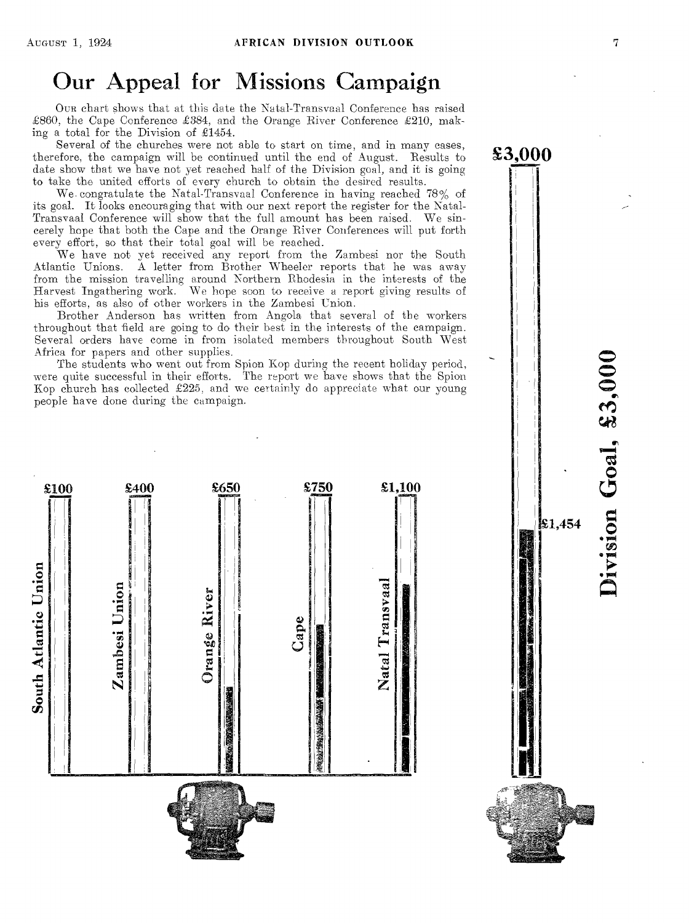# Our Appeal for Missions Campaign

OUR chart shows that at this date the Natal-Transvaal Conference has raised £860, the Cape Conference £384, and the Orange River Conference £210, making a total for the Division of £1454.

Several of the churches were not able to start on time, and in many cases, therefore, the campaign will be continued until the end of August. Results to date show that we have not yet reached half of the Division goal, and it is going to take the united efforts of every church to obtain the desired results.

We. congratulate the Natal-Transvaal Conference in having reached 78% of its goal. It looks encouraging that with our next report the register for the Natal-Transvaal Conference will show that the full amount has been raised. We sincerely hope that both the Cape and the Orange River Conferences will put forth every effort, so that their total goal will be reached.

We have not yet received any report from the Zambesi nor the South Atlantic Unions. A letter from Brother Wheeler reports that he was away from the mission travelling around Northern Rhodesia in the interests of the Harvest Ingathering work. We hope soon to receive a report giving results of his efforts, as also of other workers in the Zambesi Union.

Brother Anderson has written from Angola that several of the workers throughout that field are going to do their best in the interests of the campaign. Several orders have come in from isolated members throughout South West Africa for papers and other supplies.

The students who went out from Spion Kop during the recent holiday period, were quite successful in their efforts. The report we have shows that the Spion Kop church has collected £225, and we certainly do appreciate what our young people have done during the campaign.



Division Goal, £3,000

\$1,454

£3,000